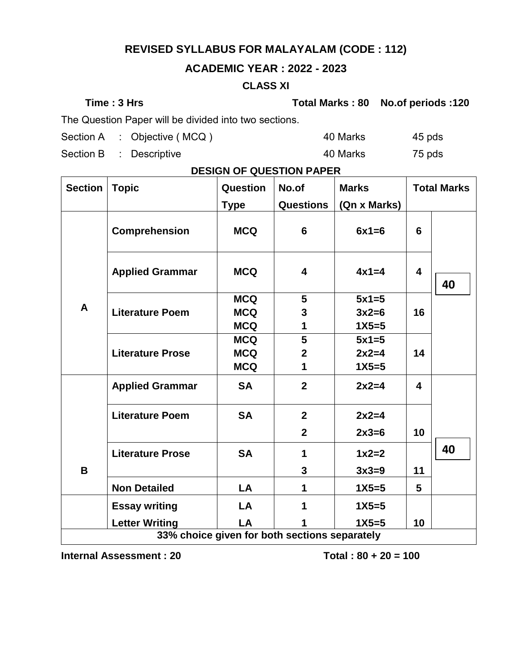## **REVISED SYLLABUS FOR MALAYALAM (CODE : 112)**

### **ACADEMIC YEAR : 2022 - 2023**

#### **CLASS XI**

**Time : 3 Hrs Total Marks : 80 No.of periods :120**

The Question Paper will be divided into two sections.

Section A : Objective (MCQ ) 40 Marks 45 pds

Section B : Descriptive 40 Marks 75 pds

| <b>Section</b>                                | <b>Topic</b>            | Question    | No.of            | <b>Marks</b> |                         | <b>Total Marks</b> |
|-----------------------------------------------|-------------------------|-------------|------------------|--------------|-------------------------|--------------------|
|                                               |                         | <b>Type</b> | <b>Questions</b> | (Qn x Marks) |                         |                    |
|                                               | Comprehension           | <b>MCQ</b>  | 6                | $6x1=6$      | $6\phantom{1}6$         |                    |
|                                               | <b>Applied Grammar</b>  | <b>MCQ</b>  | 4                | $4x1=4$      | $\overline{\mathbf{4}}$ | 40                 |
|                                               |                         | <b>MCQ</b>  | $5\phantom{1}$   | $5x1=5$      |                         |                    |
| A                                             | <b>Literature Poem</b>  | <b>MCQ</b>  | 3                | $3x2=6$      | 16                      |                    |
|                                               |                         | <b>MCQ</b>  | 1                | $1X5 = 5$    |                         |                    |
|                                               | <b>Literature Prose</b> | <b>MCQ</b>  | 5                | $5x1=5$      |                         |                    |
|                                               |                         | <b>MCQ</b>  | $\mathbf{2}$     | $2x2=4$      | 14                      |                    |
|                                               |                         | <b>MCQ</b>  | 1                | $1X5 = 5$    |                         |                    |
|                                               | <b>Applied Grammar</b>  | <b>SA</b>   | $\overline{2}$   | $2x2=4$      | 4                       |                    |
|                                               | <b>Literature Poem</b>  | <b>SA</b>   | $\overline{2}$   | $2x2=4$      |                         |                    |
|                                               |                         |             | $\overline{2}$   | $2x3=6$      | 10                      |                    |
|                                               | <b>Literature Prose</b> | <b>SA</b>   | 1                | $1x2=2$      |                         | 40                 |
| B                                             |                         |             | 3                | $3x3=9$      | 11                      |                    |
|                                               | <b>Non Detailed</b>     | LA          | 1                | $1X5 = 5$    | 5                       |                    |
|                                               | <b>Essay writing</b>    | LA          | 1                | $1X5 = 5$    |                         |                    |
|                                               | <b>Letter Writing</b>   | LA          | 1                | $1X5 = 5$    | 10                      |                    |
| 33% choice given for both sections separately |                         |             |                  |              |                         |                    |

### **DESIGN OF QUESTION PAPER**

**Internal Assessment : 20 Total : 80 + 20 = 100**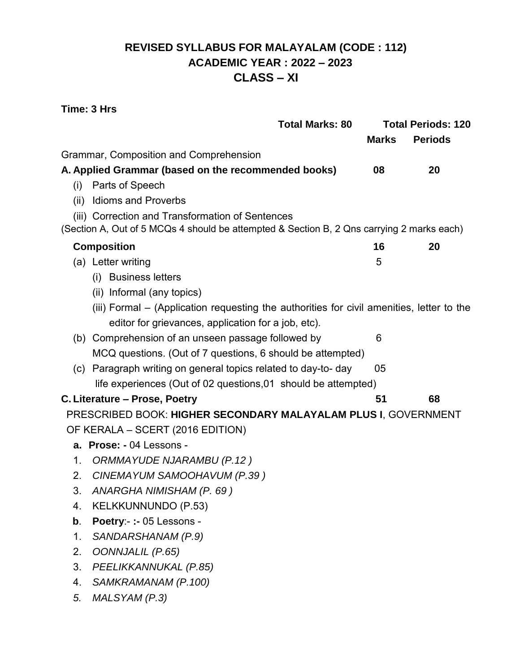## **REVISED SYLLABUS FOR MALAYALAM (CODE : 112) ACADEMIC YEAR : 2022 – 2023 CLASS – XI**

#### **Time: 3 Hrs**

|      | <b>Total Marks: 80</b>                                                                    | <b>Total Periods: 120</b> |                |  |
|------|-------------------------------------------------------------------------------------------|---------------------------|----------------|--|
|      |                                                                                           | <b>Marks</b>              | <b>Periods</b> |  |
|      | Grammar, Composition and Comprehension                                                    |                           |                |  |
|      | A. Applied Grammar (based on the recommended books)                                       | 08                        | 20             |  |
| (i)  | Parts of Speech                                                                           |                           |                |  |
| (ii) | <b>Idioms and Proverbs</b>                                                                |                           |                |  |
|      | (iii) Correction and Transformation of Sentences                                          |                           |                |  |
|      | (Section A, Out of 5 MCQs 4 should be attempted & Section B, 2 Qns carrying 2 marks each) |                           |                |  |
|      | <b>Composition</b>                                                                        | 16                        | 20             |  |
|      | (a) Letter writing                                                                        | 5                         |                |  |
|      | (i) Business letters                                                                      |                           |                |  |
|      | (ii) Informal (any topics)                                                                |                           |                |  |
|      | (iii) Formal – (Application requesting the authorities for civil amenities, letter to the |                           |                |  |
|      | editor for grievances, application for a job, etc).                                       |                           |                |  |
|      | (b) Comprehension of an unseen passage followed by                                        | 6                         |                |  |
|      | MCQ questions. (Out of 7 questions, 6 should be attempted)                                |                           |                |  |
|      | (c) Paragraph writing on general topics related to day-to-day                             | 05                        |                |  |
|      | life experiences (Out of 02 questions, 01 should be attempted)                            |                           |                |  |
|      | C. Literature - Prose, Poetry                                                             | 51                        | 68             |  |
|      | PRESCRIBED BOOK: HIGHER SECONDARY MALAYALAM PLUS I, GOVERNMENT                            |                           |                |  |
|      | OF KERALA - SCERT (2016 EDITION)                                                          |                           |                |  |
|      | a. Prose: - 04 Lessons -                                                                  |                           |                |  |
| 1.   | ORMMAYUDE NJARAMBU (P.12)                                                                 |                           |                |  |
| 2.   | CINEMAYUM SAMOOHAVUM (P.39)                                                               |                           |                |  |
| 3.   | ANARGHA NIMISHAM (P. 69)                                                                  |                           |                |  |
| 4.   | <b>KELKKUNNUNDO (P.53)</b>                                                                |                           |                |  |
| b.   | Poetry:- :- 05 Lessons -                                                                  |                           |                |  |
| 1.   | SANDARSHANAM (P.9)                                                                        |                           |                |  |
| 2.   | <b>OONNJALIL (P.65)</b>                                                                   |                           |                |  |
| 3.   | PEELIKKANNUKAL (P.85)                                                                     |                           |                |  |
| 4.   | SAMKRAMANAM (P.100)                                                                       |                           |                |  |
| 5.   | MALSYAM (P.3)                                                                             |                           |                |  |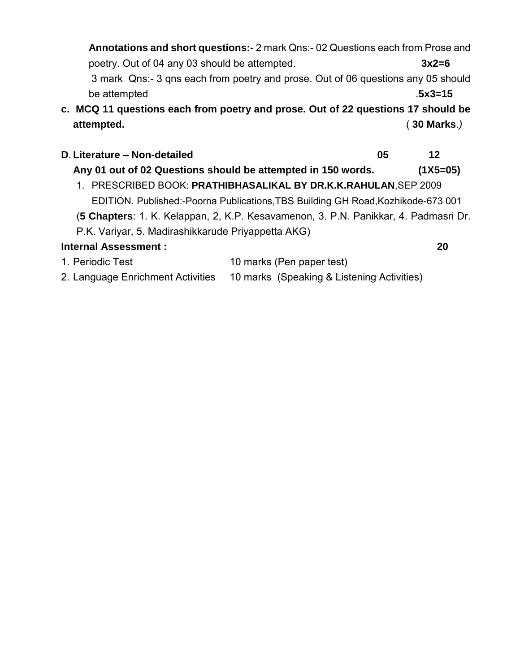**Annotations and short questions:-** 2 mark Qns:- 02 Questions each from Prose and poetry. Out of 04 any 03 should be attempted. **3x2=6** 3 mark Qns:- 3 qns each from poetry and prose. Out of 06 questions any 05 should be attempted .**5x3=15 c. MCQ 11 questions each from poetry and prose. Out of 22 questions 17 should be attempted.** ( **30 Marks**.*)*

# **D**. **Literature – Non-detailed 05 12**

- **Any 01 out of 02 Questions should be attempted in 150 words. (1X5=05)** 1. PRESCRIBED BOOK: **PRATHIBHASALIKAL BY DR.K.K.RAHULAN**,SEP 2009 EDITION. Published:-Poorna Publications,TBS Building GH Road,Kozhikode-673 001
- (**5 Chapters**: 1. K. Kelappan, 2, K.P. Kesavamenon, 3. P.N. Panikkar, 4. Padmasri Dr.
- P.K. Variyar, 5. Madirashikkarude Priyappetta AKG)

### **Internal Assessment : 20**

- 1. Periodic Test 10 marks (Pen paper test)
- 2. Language Enrichment Activities 10 marks (Speaking & Listening Activities)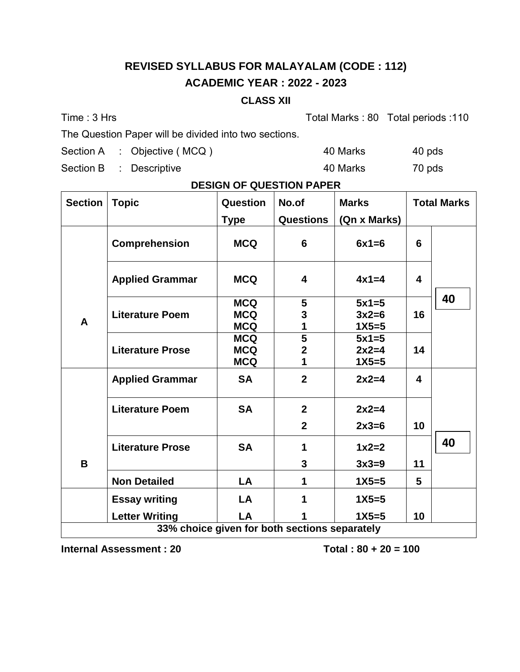# **REVISED SYLLABUS FOR MALAYALAM (CODE : 112) ACADEMIC YEAR : 2022 - 2023**

#### **CLASS XII**

Time : 3 Hrs Total Marks : 80 Total periods : 110

The Question Paper will be divided into two sections.

Section A : Objective (MCQ ) 40 Marks 40 pds

Section B : Descriptive 40 Marks 70 pds

### **DESIGN OF QUESTION PAPER**

| <b>Section</b>                                | <b>Topic</b>            | <b>Question</b> | No.of            | <b>Marks</b> | <b>Total Marks</b>      |    |
|-----------------------------------------------|-------------------------|-----------------|------------------|--------------|-------------------------|----|
|                                               |                         | <b>Type</b>     | <b>Questions</b> | (Qn x Marks) |                         |    |
|                                               | <b>Comprehension</b>    | <b>MCQ</b>      | 6                | $6x1=6$      | 6                       |    |
|                                               | <b>Applied Grammar</b>  | <b>MCQ</b>      | 4                | $4x1=4$      | $\overline{\mathbf{4}}$ |    |
|                                               |                         | <b>MCQ</b>      | 5                | $5x1=5$      |                         | 40 |
| A                                             | <b>Literature Poem</b>  | <b>MCQ</b>      | 3                | $3x2=6$      | 16                      |    |
|                                               |                         | <b>MCQ</b>      | 1                | $1X5 = 5$    |                         |    |
|                                               | <b>Literature Prose</b> | <b>MCQ</b>      | 5                | $5x1=5$      |                         |    |
|                                               |                         | <b>MCQ</b>      | $\overline{2}$   | $2x2=4$      | 14                      |    |
|                                               |                         | <b>MCQ</b>      | 1                | $1X5 = 5$    |                         |    |
|                                               | <b>Applied Grammar</b>  | <b>SA</b>       | $\overline{2}$   | $2x2=4$      | 4                       |    |
|                                               | <b>Literature Poem</b>  | <b>SA</b>       | $\mathbf{2}$     | $2x2=4$      |                         |    |
|                                               |                         |                 | $\overline{2}$   | $2x3=6$      | 10                      |    |
|                                               | <b>Literature Prose</b> | <b>SA</b>       | 1                | $1x2=2$      |                         | 40 |
| B                                             |                         |                 | 3                | $3x3=9$      | 11                      |    |
|                                               | <b>Non Detailed</b>     | LA              | 1                | $1X5 = 5$    | 5                       |    |
|                                               | <b>Essay writing</b>    | LA              |                  | $1X5 = 5$    |                         |    |
|                                               | <b>Letter Writing</b>   | LA              |                  | $1X5=5$      | 10                      |    |
| 33% choice given for both sections separately |                         |                 |                  |              |                         |    |

**Internal Assessment : 20 Total : 80 + 20 = 100**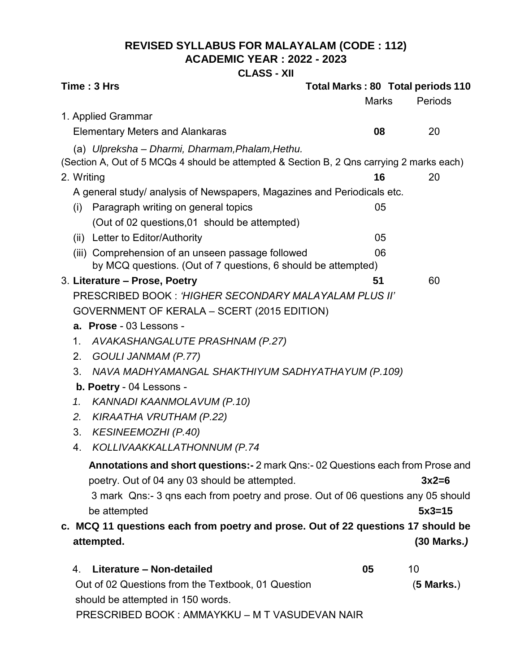### **REVISED SYLLABUS FOR MALAYALAM (CODE : 112) ACADEMIC YEAR : 2022 - 2023**

**CLASS - XII**

| <b>Marks</b><br>Periods<br>1. Applied Grammar<br><b>Elementary Meters and Alankaras</b><br>08<br>20<br>(a) Ulpreksha - Dharmi, Dharmam, Phalam, Hethu.<br>(Section A, Out of 5 MCQs 4 should be attempted & Section B, 2 Qns carrying 2 marks each)<br>2. Writing<br>16<br>20<br>A general study/ analysis of Newspapers, Magazines and Periodicals etc.<br>Paragraph writing on general topics<br>05<br>(i)<br>(Out of 02 questions, 01 should be attempted)<br>(ii) Letter to Editor/Authority<br>05<br>(iii) Comprehension of an unseen passage followed<br>06<br>by MCQ questions. (Out of 7 questions, 6 should be attempted)<br>3. Literature - Prose, Poetry<br>51<br>60<br>PRESCRIBED BOOK: 'HIGHER SECONDARY MALAYALAM PLUS II'<br>GOVERNMENT OF KERALA - SCERT (2015 EDITION)<br>a. Prose - 03 Lessons -<br>AVAKASHANGALUTE PRASHNAM (P.27)<br>1.<br>GOULI JANMAM (P.77)<br>2.<br>NAVA MADHYAMANGAL SHAKTHIYUM SADHYATHAYUM (P.109)<br>3.<br>b. Poetry - 04 Lessons -<br>KANNADI KAANMOLAVUM (P.10)<br>1.<br><b>KIRAATHA VRUTHAM (P.22)</b><br>2.<br><b>KESINEEMOZHI (P.40)</b><br>3.<br>KOLLIVAAKKALLATHONNUM (P.74<br>4.<br>Annotations and short questions:- 2 mark Qns:- 02 Questions each from Prose and<br>poetry. Out of 04 any 03 should be attempted.<br>$3x2=6$<br>3 mark Qns:-3 gns each from poetry and prose. Out of 06 questions any 05 should<br>be attempted<br>$5x3=15$<br>c. MCQ 11 questions each from poetry and prose. Out of 22 questions 17 should be<br>$(30$ Marks.)<br>attempted.<br>Literature - Non-detailed<br>05<br>10<br>4.<br>Out of 02 Questions from the Textbook, 01 Question<br>$(5$ Marks.) | Time: 3 Hrs                       | Total Marks: 80 Total periods 110 |  |
|--------------------------------------------------------------------------------------------------------------------------------------------------------------------------------------------------------------------------------------------------------------------------------------------------------------------------------------------------------------------------------------------------------------------------------------------------------------------------------------------------------------------------------------------------------------------------------------------------------------------------------------------------------------------------------------------------------------------------------------------------------------------------------------------------------------------------------------------------------------------------------------------------------------------------------------------------------------------------------------------------------------------------------------------------------------------------------------------------------------------------------------------------------------------------------------------------------------------------------------------------------------------------------------------------------------------------------------------------------------------------------------------------------------------------------------------------------------------------------------------------------------------------------------------------------------------------------------------------------------------------------------------|-----------------------------------|-----------------------------------|--|
|                                                                                                                                                                                                                                                                                                                                                                                                                                                                                                                                                                                                                                                                                                                                                                                                                                                                                                                                                                                                                                                                                                                                                                                                                                                                                                                                                                                                                                                                                                                                                                                                                                            |                                   |                                   |  |
|                                                                                                                                                                                                                                                                                                                                                                                                                                                                                                                                                                                                                                                                                                                                                                                                                                                                                                                                                                                                                                                                                                                                                                                                                                                                                                                                                                                                                                                                                                                                                                                                                                            |                                   |                                   |  |
|                                                                                                                                                                                                                                                                                                                                                                                                                                                                                                                                                                                                                                                                                                                                                                                                                                                                                                                                                                                                                                                                                                                                                                                                                                                                                                                                                                                                                                                                                                                                                                                                                                            |                                   |                                   |  |
|                                                                                                                                                                                                                                                                                                                                                                                                                                                                                                                                                                                                                                                                                                                                                                                                                                                                                                                                                                                                                                                                                                                                                                                                                                                                                                                                                                                                                                                                                                                                                                                                                                            |                                   |                                   |  |
|                                                                                                                                                                                                                                                                                                                                                                                                                                                                                                                                                                                                                                                                                                                                                                                                                                                                                                                                                                                                                                                                                                                                                                                                                                                                                                                                                                                                                                                                                                                                                                                                                                            |                                   |                                   |  |
|                                                                                                                                                                                                                                                                                                                                                                                                                                                                                                                                                                                                                                                                                                                                                                                                                                                                                                                                                                                                                                                                                                                                                                                                                                                                                                                                                                                                                                                                                                                                                                                                                                            |                                   |                                   |  |
|                                                                                                                                                                                                                                                                                                                                                                                                                                                                                                                                                                                                                                                                                                                                                                                                                                                                                                                                                                                                                                                                                                                                                                                                                                                                                                                                                                                                                                                                                                                                                                                                                                            |                                   |                                   |  |
|                                                                                                                                                                                                                                                                                                                                                                                                                                                                                                                                                                                                                                                                                                                                                                                                                                                                                                                                                                                                                                                                                                                                                                                                                                                                                                                                                                                                                                                                                                                                                                                                                                            |                                   |                                   |  |
|                                                                                                                                                                                                                                                                                                                                                                                                                                                                                                                                                                                                                                                                                                                                                                                                                                                                                                                                                                                                                                                                                                                                                                                                                                                                                                                                                                                                                                                                                                                                                                                                                                            |                                   |                                   |  |
|                                                                                                                                                                                                                                                                                                                                                                                                                                                                                                                                                                                                                                                                                                                                                                                                                                                                                                                                                                                                                                                                                                                                                                                                                                                                                                                                                                                                                                                                                                                                                                                                                                            |                                   |                                   |  |
|                                                                                                                                                                                                                                                                                                                                                                                                                                                                                                                                                                                                                                                                                                                                                                                                                                                                                                                                                                                                                                                                                                                                                                                                                                                                                                                                                                                                                                                                                                                                                                                                                                            |                                   |                                   |  |
|                                                                                                                                                                                                                                                                                                                                                                                                                                                                                                                                                                                                                                                                                                                                                                                                                                                                                                                                                                                                                                                                                                                                                                                                                                                                                                                                                                                                                                                                                                                                                                                                                                            |                                   |                                   |  |
|                                                                                                                                                                                                                                                                                                                                                                                                                                                                                                                                                                                                                                                                                                                                                                                                                                                                                                                                                                                                                                                                                                                                                                                                                                                                                                                                                                                                                                                                                                                                                                                                                                            |                                   |                                   |  |
|                                                                                                                                                                                                                                                                                                                                                                                                                                                                                                                                                                                                                                                                                                                                                                                                                                                                                                                                                                                                                                                                                                                                                                                                                                                                                                                                                                                                                                                                                                                                                                                                                                            |                                   |                                   |  |
|                                                                                                                                                                                                                                                                                                                                                                                                                                                                                                                                                                                                                                                                                                                                                                                                                                                                                                                                                                                                                                                                                                                                                                                                                                                                                                                                                                                                                                                                                                                                                                                                                                            |                                   |                                   |  |
|                                                                                                                                                                                                                                                                                                                                                                                                                                                                                                                                                                                                                                                                                                                                                                                                                                                                                                                                                                                                                                                                                                                                                                                                                                                                                                                                                                                                                                                                                                                                                                                                                                            |                                   |                                   |  |
|                                                                                                                                                                                                                                                                                                                                                                                                                                                                                                                                                                                                                                                                                                                                                                                                                                                                                                                                                                                                                                                                                                                                                                                                                                                                                                                                                                                                                                                                                                                                                                                                                                            |                                   |                                   |  |
|                                                                                                                                                                                                                                                                                                                                                                                                                                                                                                                                                                                                                                                                                                                                                                                                                                                                                                                                                                                                                                                                                                                                                                                                                                                                                                                                                                                                                                                                                                                                                                                                                                            |                                   |                                   |  |
|                                                                                                                                                                                                                                                                                                                                                                                                                                                                                                                                                                                                                                                                                                                                                                                                                                                                                                                                                                                                                                                                                                                                                                                                                                                                                                                                                                                                                                                                                                                                                                                                                                            |                                   |                                   |  |
|                                                                                                                                                                                                                                                                                                                                                                                                                                                                                                                                                                                                                                                                                                                                                                                                                                                                                                                                                                                                                                                                                                                                                                                                                                                                                                                                                                                                                                                                                                                                                                                                                                            |                                   |                                   |  |
|                                                                                                                                                                                                                                                                                                                                                                                                                                                                                                                                                                                                                                                                                                                                                                                                                                                                                                                                                                                                                                                                                                                                                                                                                                                                                                                                                                                                                                                                                                                                                                                                                                            |                                   |                                   |  |
|                                                                                                                                                                                                                                                                                                                                                                                                                                                                                                                                                                                                                                                                                                                                                                                                                                                                                                                                                                                                                                                                                                                                                                                                                                                                                                                                                                                                                                                                                                                                                                                                                                            |                                   |                                   |  |
|                                                                                                                                                                                                                                                                                                                                                                                                                                                                                                                                                                                                                                                                                                                                                                                                                                                                                                                                                                                                                                                                                                                                                                                                                                                                                                                                                                                                                                                                                                                                                                                                                                            |                                   |                                   |  |
|                                                                                                                                                                                                                                                                                                                                                                                                                                                                                                                                                                                                                                                                                                                                                                                                                                                                                                                                                                                                                                                                                                                                                                                                                                                                                                                                                                                                                                                                                                                                                                                                                                            |                                   |                                   |  |
|                                                                                                                                                                                                                                                                                                                                                                                                                                                                                                                                                                                                                                                                                                                                                                                                                                                                                                                                                                                                                                                                                                                                                                                                                                                                                                                                                                                                                                                                                                                                                                                                                                            |                                   |                                   |  |
|                                                                                                                                                                                                                                                                                                                                                                                                                                                                                                                                                                                                                                                                                                                                                                                                                                                                                                                                                                                                                                                                                                                                                                                                                                                                                                                                                                                                                                                                                                                                                                                                                                            |                                   |                                   |  |
|                                                                                                                                                                                                                                                                                                                                                                                                                                                                                                                                                                                                                                                                                                                                                                                                                                                                                                                                                                                                                                                                                                                                                                                                                                                                                                                                                                                                                                                                                                                                                                                                                                            |                                   |                                   |  |
|                                                                                                                                                                                                                                                                                                                                                                                                                                                                                                                                                                                                                                                                                                                                                                                                                                                                                                                                                                                                                                                                                                                                                                                                                                                                                                                                                                                                                                                                                                                                                                                                                                            |                                   |                                   |  |
|                                                                                                                                                                                                                                                                                                                                                                                                                                                                                                                                                                                                                                                                                                                                                                                                                                                                                                                                                                                                                                                                                                                                                                                                                                                                                                                                                                                                                                                                                                                                                                                                                                            |                                   |                                   |  |
|                                                                                                                                                                                                                                                                                                                                                                                                                                                                                                                                                                                                                                                                                                                                                                                                                                                                                                                                                                                                                                                                                                                                                                                                                                                                                                                                                                                                                                                                                                                                                                                                                                            |                                   |                                   |  |
|                                                                                                                                                                                                                                                                                                                                                                                                                                                                                                                                                                                                                                                                                                                                                                                                                                                                                                                                                                                                                                                                                                                                                                                                                                                                                                                                                                                                                                                                                                                                                                                                                                            |                                   |                                   |  |
|                                                                                                                                                                                                                                                                                                                                                                                                                                                                                                                                                                                                                                                                                                                                                                                                                                                                                                                                                                                                                                                                                                                                                                                                                                                                                                                                                                                                                                                                                                                                                                                                                                            |                                   |                                   |  |
|                                                                                                                                                                                                                                                                                                                                                                                                                                                                                                                                                                                                                                                                                                                                                                                                                                                                                                                                                                                                                                                                                                                                                                                                                                                                                                                                                                                                                                                                                                                                                                                                                                            | should be attempted in 150 words. |                                   |  |

PRESCRIBED BOOK : AMMAYKKU – M T VASUDEVAN NAIR